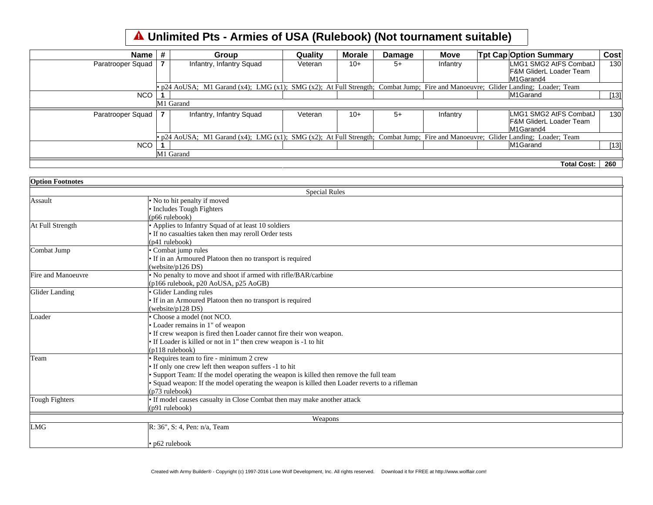## **Unlimited Pts - Armies of USA (Rulebook) (Not tournament suitable)**

| Name l            | Group                                                                                                                            | Quality | Morale | Damage | <b>Move</b> | <b>Tpt Cap Option Summary</b>      | Cost |
|-------------------|----------------------------------------------------------------------------------------------------------------------------------|---------|--------|--------|-------------|------------------------------------|------|
| Paratrooper Squad | Infantry, Infantry Squad                                                                                                         | Veteran | $10+$  | $5+$   | Infantry    | LMG1 SMG2 AtFS CombatJ             | 130  |
|                   |                                                                                                                                  |         |        |        |             | <b>F&amp;M GliderL Loader Team</b> |      |
|                   |                                                                                                                                  |         |        |        |             | M1Garand4                          |      |
|                   | • p24 AoUSA; M1 Garand (x4); LMG (x1); SMG (x2); At Full Strength; Combat Jump; Fire and Manoeuvre; Glider Landing; Loader; Team |         |        |        |             |                                    |      |
| <b>NCO</b>        |                                                                                                                                  |         |        |        |             | M1Garand                           | [13] |
|                   | M1 Garand                                                                                                                        |         |        |        |             |                                    |      |
| Paratrooper Squad | Infantry, Infantry Squad                                                                                                         | Veteran | $10+$  | $5+$   | Infantry    | LMG1 SMG2 AtFS CombatJ             | 130  |
|                   |                                                                                                                                  |         |        |        |             | IF&M GliderL Loader Team           |      |
|                   |                                                                                                                                  |         |        |        |             | M1Garand4                          |      |
|                   | • p24 AoUSA; M1 Garand (x4); LMG (x1); SMG (x2); At Full Strength; Combat Jump; Fire and Manoeuvre; Glider Landing; Loader; Team |         |        |        |             |                                    |      |
| <b>NCO</b>        |                                                                                                                                  |         |        |        |             | M1Garand                           | [13] |
|                   | M1 Garand                                                                                                                        |         |        |        |             |                                    |      |
|                   |                                                                                                                                  |         |        |        |             | <b>Total Cost:</b>                 | 260  |

| <b>Option Footnotes</b> |                                                                                               |  |  |  |  |  |
|-------------------------|-----------------------------------------------------------------------------------------------|--|--|--|--|--|
| <b>Special Rules</b>    |                                                                                               |  |  |  |  |  |
| Assault                 | • No to hit penalty if moved                                                                  |  |  |  |  |  |
|                         | • Includes Tough Fighters                                                                     |  |  |  |  |  |
|                         | $(p66$ rulebook $)$                                                                           |  |  |  |  |  |
| At Full Strength        | • Applies to Infantry Squad of at least 10 soldiers                                           |  |  |  |  |  |
|                         | • If no casualties taken then may reroll Order tests                                          |  |  |  |  |  |
|                         | (p41 rulebook)                                                                                |  |  |  |  |  |
| Combat Jump             | • Combat jump rules                                                                           |  |  |  |  |  |
|                         | • If in an Armoured Platoon then no transport is required                                     |  |  |  |  |  |
|                         | (website/p126 DS)                                                                             |  |  |  |  |  |
| Fire and Manoeuvre      | • No penalty to move and shoot if armed with rifle/BAR/carbine                                |  |  |  |  |  |
|                         | (p166 rulebook, p20 AoUSA, p25 AoGB)                                                          |  |  |  |  |  |
| Glider Landing          | · Glider Landing rules                                                                        |  |  |  |  |  |
|                         | • If in an Armoured Platoon then no transport is required                                     |  |  |  |  |  |
|                         | (website/p128 DS)                                                                             |  |  |  |  |  |
| Loader                  | • Choose a model (not NCO.                                                                    |  |  |  |  |  |
|                         | • Loader remains in 1" of weapon                                                              |  |  |  |  |  |
|                         | • If crew weapon is fired then Loader cannot fire their won weapon.                           |  |  |  |  |  |
|                         | • If Loader is killed or not in 1" then crew weapon is -1 to hit                              |  |  |  |  |  |
|                         | $(p118 \text{ rulebook})$                                                                     |  |  |  |  |  |
| Team                    | • Requires team to fire - minimum 2 crew                                                      |  |  |  |  |  |
|                         | • If only one crew left then weapon suffers -1 to hit                                         |  |  |  |  |  |
|                         | • Support Team: If the model operating the weapon is killed then remove the full team         |  |  |  |  |  |
|                         | • Squad weapon: If the model operating the weapon is killed then Loader reverts to a rifleman |  |  |  |  |  |
|                         | (p73 rulebook)                                                                                |  |  |  |  |  |
| Tough Fighters          | • If model causes casualty in Close Combat then may make another attack                       |  |  |  |  |  |
|                         | $(p91$ rulebook)                                                                              |  |  |  |  |  |
|                         | Weapons                                                                                       |  |  |  |  |  |
| <b>LMG</b>              | R: 36", S: 4, Pen: n/a, Team                                                                  |  |  |  |  |  |
|                         |                                                                                               |  |  |  |  |  |
|                         | $\cdot$ p62 rulebook                                                                          |  |  |  |  |  |